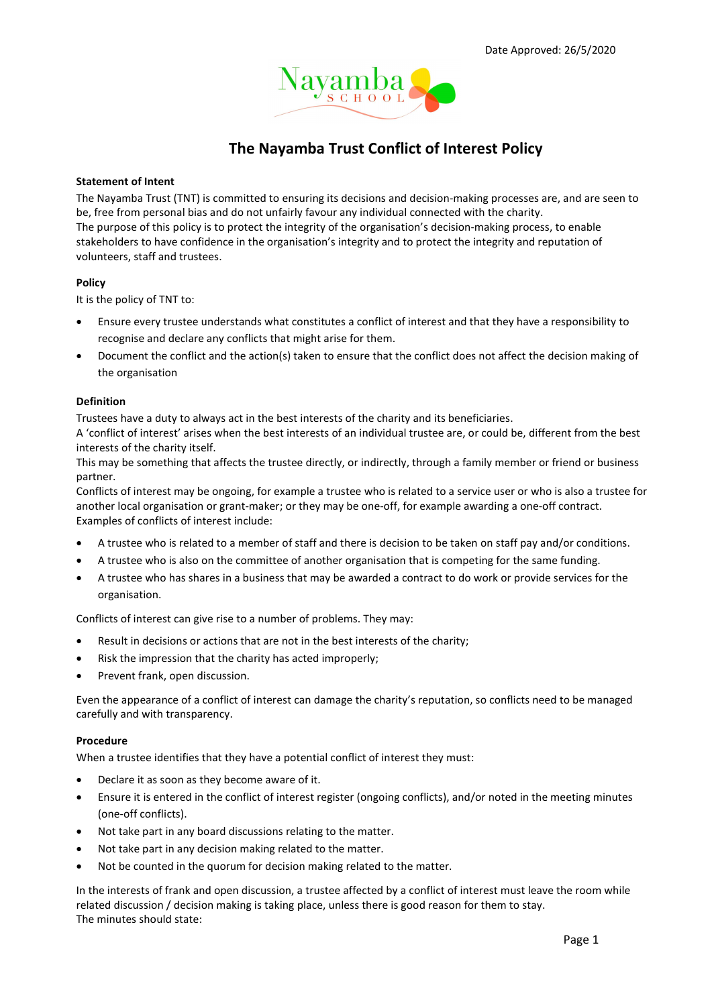

# The Nayamba Trust Conflict of Interest Policy

#### Statement of Intent

The Nayamba Trust (TNT) is committed to ensuring its decisions and decision-making processes are, and are seen to be, free from personal bias and do not unfairly favour any individual connected with the charity. The purpose of this policy is to protect the integrity of the organisation's decision-making process, to enable stakeholders to have confidence in the organisation's integrity and to protect the integrity and reputation of volunteers, staff and trustees.

## Policy

It is the policy of TNT to:

- Ensure every trustee understands what constitutes a conflict of interest and that they have a responsibility to recognise and declare any conflicts that might arise for them.
- Document the conflict and the action(s) taken to ensure that the conflict does not affect the decision making of the organisation

#### Definition

Trustees have a duty to always act in the best interests of the charity and its beneficiaries.

A 'conflict of interest' arises when the best interests of an individual trustee are, or could be, different from the best interests of the charity itself.

This may be something that affects the trustee directly, or indirectly, through a family member or friend or business partner.

Conflicts of interest may be ongoing, for example a trustee who is related to a service user or who is also a trustee for another local organisation or grant-maker; or they may be one-off, for example awarding a one-off contract. Examples of conflicts of interest include:

- A trustee who is related to a member of staff and there is decision to be taken on staff pay and/or conditions.
- A trustee who is also on the committee of another organisation that is competing for the same funding.
- A trustee who has shares in a business that may be awarded a contract to do work or provide services for the organisation.

Conflicts of interest can give rise to a number of problems. They may:

- Result in decisions or actions that are not in the best interests of the charity;
- Risk the impression that the charity has acted improperly;
- Prevent frank, open discussion.

Even the appearance of a conflict of interest can damage the charity's reputation, so conflicts need to be managed carefully and with transparency.

#### Procedure

When a trustee identifies that they have a potential conflict of interest they must:

- Declare it as soon as they become aware of it.
- Ensure it is entered in the conflict of interest register (ongoing conflicts), and/or noted in the meeting minutes (one-off conflicts).
- Not take part in any board discussions relating to the matter.
- Not take part in any decision making related to the matter.
- Not be counted in the quorum for decision making related to the matter.

In the interests of frank and open discussion, a trustee affected by a conflict of interest must leave the room while related discussion / decision making is taking place, unless there is good reason for them to stay. The minutes should state: